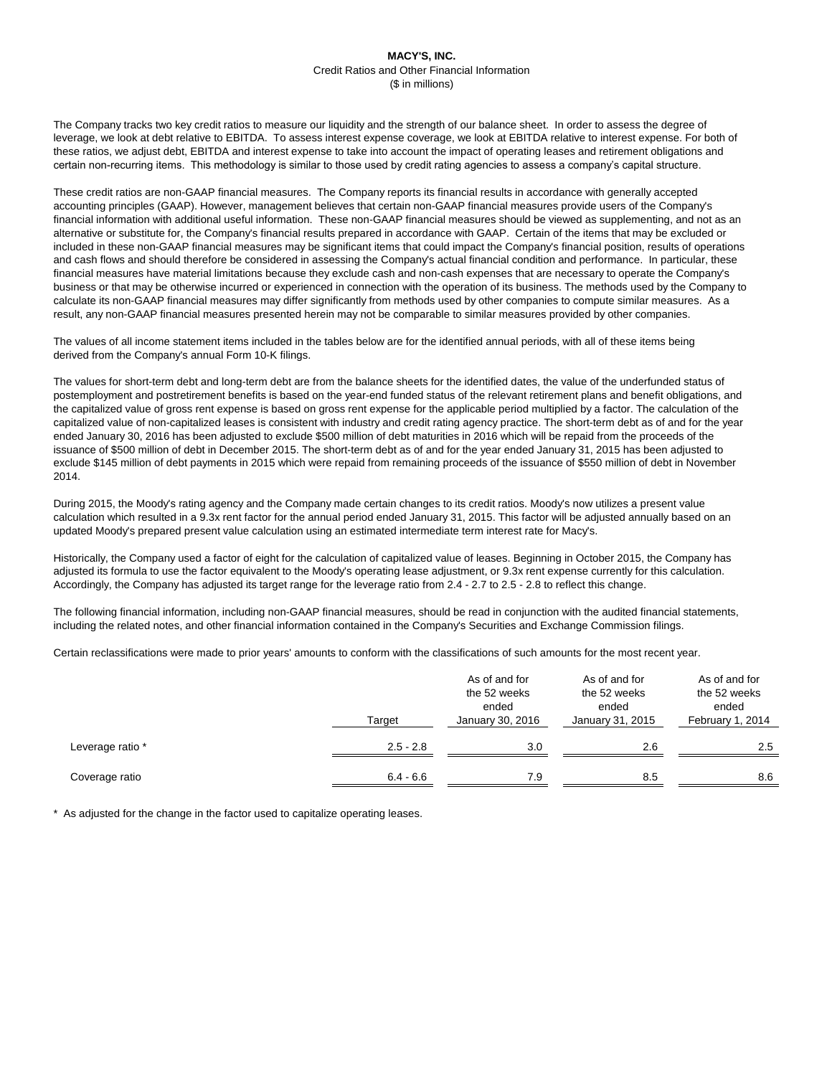The Company tracks two key credit ratios to measure our liquidity and the strength of our balance sheet. In order to assess the degree of leverage, we look at debt relative to EBITDA. To assess interest expense coverage, we look at EBITDA relative to interest expense. For both of these ratios, we adjust debt, EBITDA and interest expense to take into account the impact of operating leases and retirement obligations and certain non-recurring items. This methodology is similar to those used by credit rating agencies to assess a company's capital structure.

These credit ratios are non-GAAP financial measures. The Company reports its financial results in accordance with generally accepted accounting principles (GAAP). However, management believes that certain non-GAAP financial measures provide users of the Company's financial information with additional useful information. These non-GAAP financial measures should be viewed as supplementing, and not as an alternative or substitute for, the Company's financial results prepared in accordance with GAAP. Certain of the items that may be excluded or included in these non-GAAP financial measures may be significant items that could impact the Company's financial position, results of operations and cash flows and should therefore be considered in assessing the Company's actual financial condition and performance. In particular, these financial measures have material limitations because they exclude cash and non-cash expenses that are necessary to operate the Company's business or that may be otherwise incurred or experienced in connection with the operation of its business. The methods used by the Company to calculate its non-GAAP financial measures may differ significantly from methods used by other companies to compute similar measures. As a result, any non-GAAP financial measures presented herein may not be comparable to similar measures provided by other companies.

The values of all income statement items included in the tables below are for the identified annual periods, with all of these items being derived from the Company's annual Form 10-K filings.

The values for short-term debt and long-term debt are from the balance sheets for the identified dates, the value of the underfunded status of postemployment and postretirement benefits is based on the year-end funded status of the relevant retirement plans and benefit obligations, and the capitalized value of gross rent expense is based on gross rent expense for the applicable period multiplied by a factor. The calculation of the capitalized value of non-capitalized leases is consistent with industry and credit rating agency practice. The short-term debt as of and for the year ended January 30, 2016 has been adjusted to exclude \$500 million of debt maturities in 2016 which will be repaid from the proceeds of the issuance of \$500 million of debt in December 2015. The short-term debt as of and for the year ended January 31, 2015 has been adjusted to exclude \$145 million of debt payments in 2015 which were repaid from remaining proceeds of the issuance of \$550 million of debt in November 2014.

During 2015, the Moody's rating agency and the Company made certain changes to its credit ratios. Moody's now utilizes a present value calculation which resulted in a 9.3x rent factor for the annual period ended January 31, 2015. This factor will be adjusted annually based on an updated Moody's prepared present value calculation using an estimated intermediate term interest rate for Macy's.

Historically, the Company used a factor of eight for the calculation of capitalized value of leases. Beginning in October 2015, the Company has adjusted its formula to use the factor equivalent to the Moody's operating lease adjustment, or 9.3x rent expense currently for this calculation. Accordingly, the Company has adjusted its target range for the leverage ratio from 2.4 - 2.7 to 2.5 - 2.8 to reflect this change.

The following financial information, including non-GAAP financial measures, should be read in conjunction with the audited financial statements, including the related notes, and other financial information contained in the Company's Securities and Exchange Commission filings.

Certain reclassifications were made to prior years' amounts to conform with the classifications of such amounts for the most recent year.

|                  | Target      | As of and for<br>the 52 weeks<br>ended<br>January 30, 2016 | As of and for<br>the 52 weeks<br>ended<br>January 31, 2015 | As of and for<br>the 52 weeks<br>ended<br>February 1, 2014 |
|------------------|-------------|------------------------------------------------------------|------------------------------------------------------------|------------------------------------------------------------|
| Leverage ratio * | $2.5 - 2.8$ | 3.0                                                        | 2.6                                                        | 2.5                                                        |
| Coverage ratio   | $6.4 - 6.6$ | 7.9                                                        | 8.5                                                        | 8.6                                                        |

\* As adjusted for the change in the factor used to capitalize operating leases.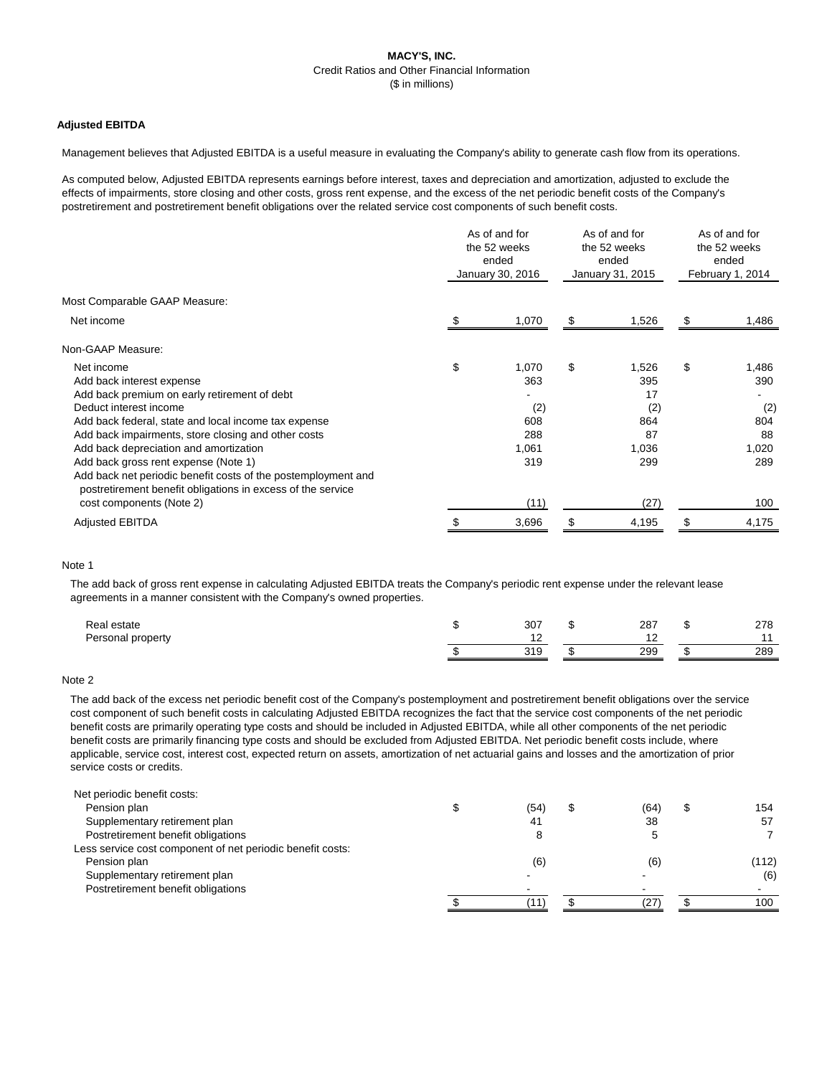# **Adjusted EBITDA**

Management believes that Adjusted EBITDA is a useful measure in evaluating the Company's ability to generate cash flow from its operations.

As computed below, Adjusted EBITDA represents earnings before interest, taxes and depreciation and amortization, adjusted to exclude the effects of impairments, store closing and other costs, gross rent expense, and the excess of the net periodic benefit costs of the Company's postretirement and postretirement benefit obligations over the related service cost components of such benefit costs.

|                                                               | As of and for<br>the 52 weeks<br>ended<br>January 30, 2016 |       | As of and for<br>the 52 weeks<br>ended<br>January 31, 2015 |       | As of and for<br>the 52 weeks<br>ended<br>February 1, 2014 |       |
|---------------------------------------------------------------|------------------------------------------------------------|-------|------------------------------------------------------------|-------|------------------------------------------------------------|-------|
| Most Comparable GAAP Measure:                                 |                                                            |       |                                                            |       |                                                            |       |
| Net income                                                    |                                                            | 1,070 | -SS                                                        | 1,526 | -SS                                                        | 1,486 |
| Non-GAAP Measure:                                             |                                                            |       |                                                            |       |                                                            |       |
| Net income                                                    | \$                                                         | 1,070 | \$                                                         | 1,526 | \$                                                         | 1,486 |
| Add back interest expense                                     |                                                            | 363   |                                                            | 395   |                                                            | 390   |
| Add back premium on early retirement of debt                  |                                                            |       |                                                            | 17    |                                                            |       |
| Deduct interest income                                        |                                                            | (2)   |                                                            | (2)   |                                                            | (2)   |
| Add back federal, state and local income tax expense          |                                                            | 608   |                                                            | 864   |                                                            | 804   |
| Add back impairments, store closing and other costs           |                                                            | 288   |                                                            | 87    |                                                            | 88    |
| Add back depreciation and amortization                        |                                                            | 1,061 |                                                            | 1,036 |                                                            | 1,020 |
| Add back gross rent expense (Note 1)                          |                                                            | 319   |                                                            | 299   |                                                            | 289   |
| Add back net periodic benefit costs of the postemployment and |                                                            |       |                                                            |       |                                                            |       |
| postretirement benefit obligations in excess of the service   |                                                            |       |                                                            |       |                                                            |       |
| cost components (Note 2)                                      |                                                            | (11)  |                                                            | (27)  |                                                            | 100   |
| <b>Adjusted EBITDA</b>                                        |                                                            | 3,696 |                                                            | 4,195 |                                                            | 4,175 |

### Note 1

The add back of gross rent expense in calculating Adjusted EBITDA treats the Company's periodic rent expense under the relevant lease agreements in a manner consistent with the Company's owned properties.

| Real estate       | 307                  | 287 | 278 |
|-------------------|----------------------|-----|-----|
| Personal property |                      |     |     |
|                   | 210<br><u> U I U</u> | 299 | 289 |

#### Note 2

The add back of the excess net periodic benefit cost of the Company's postemployment and postretirement benefit obligations over the service cost component of such benefit costs in calculating Adjusted EBITDA recognizes the fact that the service cost components of the net periodic benefit costs are primarily operating type costs and should be included in Adjusted EBITDA, while all other components of the net periodic benefit costs are primarily financing type costs and should be excluded from Adjusted EBITDA. Net periodic benefit costs include, where applicable, service cost, interest cost, expected return on assets, amortization of net actuarial gains and losses and the amortization of prior service costs or credits.

| Net periodic benefit costs:                                |      |      |       |
|------------------------------------------------------------|------|------|-------|
| Pension plan                                               | (54) | (64) | 154   |
| Supplementary retirement plan                              | 41   | 38   | 57    |
| Postretirement benefit obligations                         |      |      |       |
| Less service cost component of net periodic benefit costs: |      |      |       |
| Pension plan                                               | (6)  | (6)  | (112) |
| Supplementary retirement plan                              |      |      | (6)   |
| Postretirement benefit obligations                         |      |      |       |
|                                                            |      |      | 100   |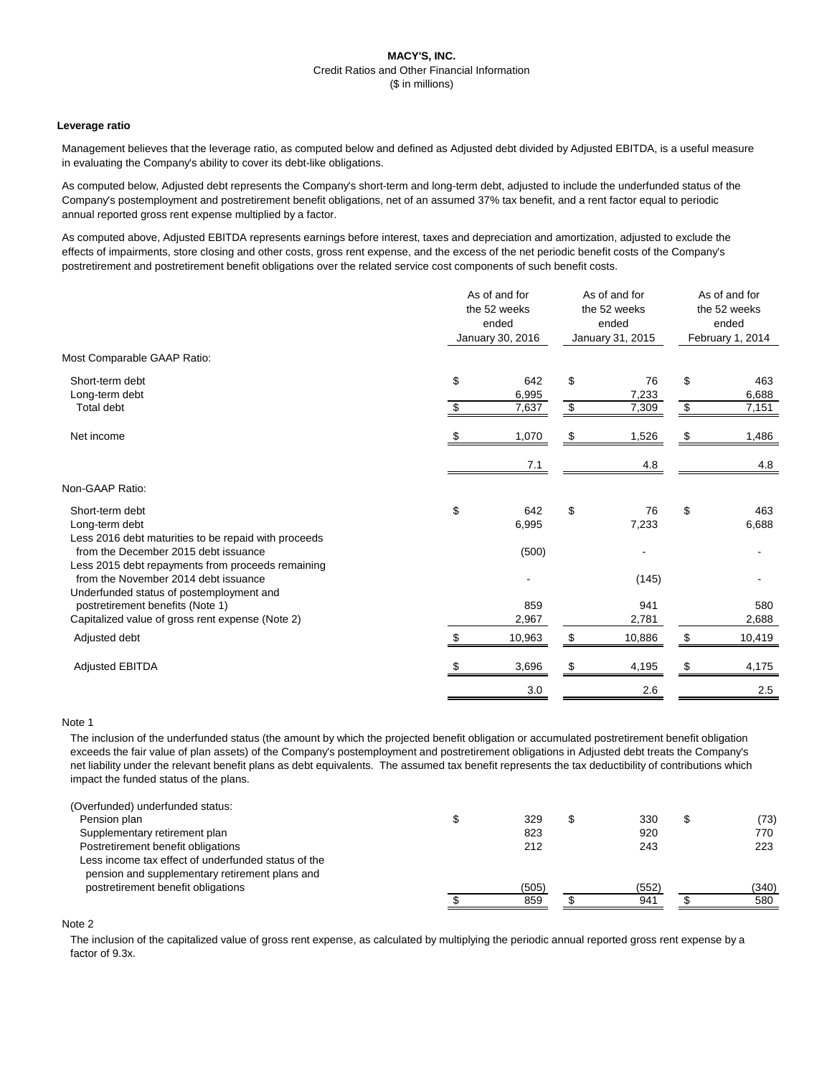### **Leverage ratio**

Management believes that the leverage ratio, as computed below and defined as Adjusted debt divided by Adjusted EBITDA, is a useful measure in evaluating the Company's ability to cover its debt-like obligations.

As computed below, Adjusted debt represents the Company's short-term and long-term debt, adjusted to include the underfunded status of the Company's postemployment and postretirement benefit obligations, net of an assumed 37% tax benefit, and a rent factor equal to periodic annual reported gross rent expense multiplied by a factor.

As computed above, Adjusted EBITDA represents earnings before interest, taxes and depreciation and amortization, adjusted to exclude the effects of impairments, store closing and other costs, gross rent expense, and the excess of the net periodic benefit costs of the Company's postretirement and postretirement benefit obligations over the related service cost components of such benefit costs.

| Most Comparable GAAP Ratio:<br>Short-term debt<br>Long-term debt<br>Total debt            | \$<br>\$ | 642<br>6,995<br>7,637 | $\boldsymbol{\mathsf{S}}$ | 76<br>7,233  | \$                         |                |
|-------------------------------------------------------------------------------------------|----------|-----------------------|---------------------------|--------------|----------------------------|----------------|
|                                                                                           |          |                       |                           |              |                            |                |
|                                                                                           |          |                       |                           |              |                            | 463            |
|                                                                                           |          |                       | \$                        | 7,309        | $\boldsymbol{\mathsf{\$}}$ | 6,688<br>7,151 |
| Net income                                                                                |          | 1,070                 | \$                        | 1,526        | - 5                        | 1,486          |
|                                                                                           |          | 7.1                   |                           | 4.8          |                            | 4.8            |
| Non-GAAP Ratio:                                                                           |          |                       |                           |              |                            |                |
| Short-term debt<br>Long-term debt<br>Less 2016 debt maturities to be repaid with proceeds | \$       | 642<br>6,995          | $\$\$                     | 76<br>7,233  | \$                         | 463<br>6,688   |
| from the December 2015 debt issuance<br>Less 2015 debt repayments from proceeds remaining |          | (500)                 |                           |              |                            |                |
| from the November 2014 debt issuance<br>Underfunded status of postemployment and          |          |                       |                           | (145)        |                            |                |
| postretirement benefits (Note 1)<br>Capitalized value of gross rent expense (Note 2)      |          | 859<br>2,967          |                           | 941<br>2,781 |                            | 580<br>2,688   |
| Adjusted debt                                                                             | \$       | 10,963                | $\boldsymbol{\theta}$     | 10,886       | \$                         | 10,419         |
| <b>Adjusted EBITDA</b>                                                                    | \$       | 3,696                 | \$                        | 4,195        | \$                         | 4,175          |
|                                                                                           |          | 3.0                   |                           | 2.6          |                            | 2.5            |

### Note 1

The inclusion of the underfunded status (the amount by which the projected benefit obligation or accumulated postretirement benefit obligation exceeds the fair value of plan assets) of the Company's postemployment and postretirement obligations in Adjusted debt treats the Company's net liability under the relevant benefit plans as debt equivalents. The assumed tax benefit represents the tax deductibility of contributions which impact the funded status of the plans.

| (Overfunded) underfunded status:                    |       |       |       |
|-----------------------------------------------------|-------|-------|-------|
| Pension plan                                        | 329   | 330   | (73)  |
| Supplementary retirement plan                       | 823   | 920   | 770   |
| Postretirement benefit obligations                  | 212   | 243   | 223   |
| Less income tax effect of underfunded status of the |       |       |       |
| pension and supplementary retirement plans and      |       |       |       |
| postretirement benefit obligations                  | (505) | (552) | (340) |
|                                                     | 859   | 941   | 580   |

Note 2

The inclusion of the capitalized value of gross rent expense, as calculated by multiplying the periodic annual reported gross rent expense by a factor of 9.3x.